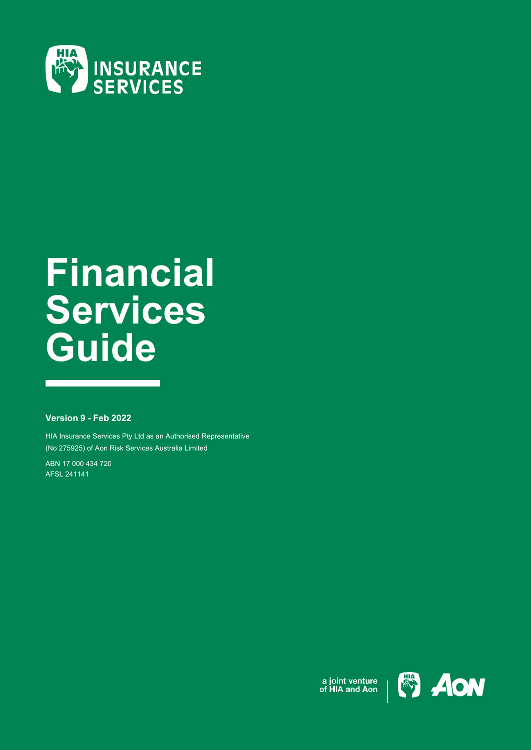

# **Financial Services Guide**

## **Version 9 - Feb 2022**

HIA Insurance Services Pty Ltd as an Authorised Representative (No 275925) of Aon Risk Services Australia Limited

ABN 17 000 434 720 AFSL 241141



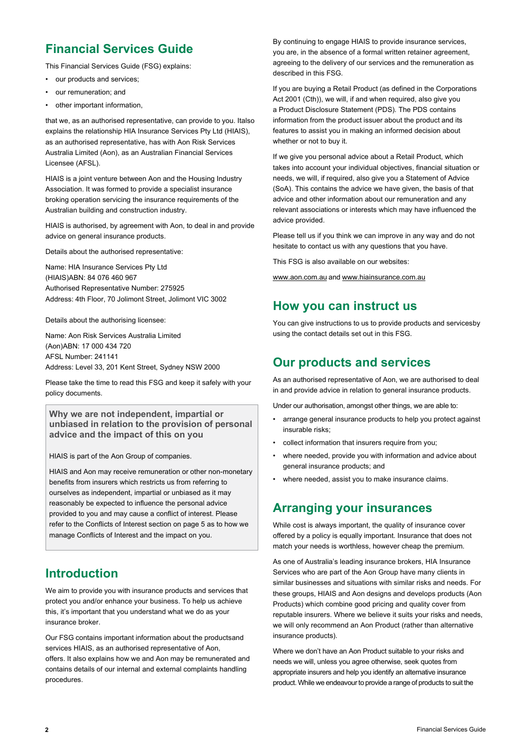# **Financial Services Guide**

This Financial Services Guide (FSG) explains:

- our products and services:
- our remuneration; and
- other important information.

that we, as an authorised representative, can provide to you. Italso explains the relationship HIA Insurance Services Pty Ltd (HIAIS), as an authorised representative, has with Aon Risk Services Australia Limited (Aon), as an Australian Financial Services Licensee (AFSL).

HIAIS is a joint venture between Aon and the Housing Industry Association. It was formed to provide a specialist insurance broking operation servicing the insurance requirements of the Australian building and construction industry.

HIAIS is authorised, by agreement with Aon, to deal in and provide advice on general insurance products.

Details about the authorised representative:

Name: HIA Insurance Services Pty Ltd (HIAIS)ABN: 84 076 460 967 Authorised Representative Number: 275925 Address: 4th Floor, 70 Jolimont Street, Jolimont VIC 3002

Details about the authorising licensee:

Name: Aon Risk Services Australia Limited (Aon)ABN: 17 000 434 720 AFSL Number: 241141 Address: Level 33, 201 Kent Street, Sydney NSW 2000

Please take the time to read this FSG and keep it safely with your policy documents.

**Why we are not independent, impartial or unbiased in relation to the provision of personal advice and the impact of this on you**

HIAIS is part of the Aon Group of companies.

HIAIS and Aon may receive remuneration or other non-monetary benefits from insurers which restricts us from referring to ourselves as independent, impartial or unbiased as it may reasonably be expected to influence the personal advice provided to you and may cause a conflict of interest. Please refer to the Conflicts of Interest section on page 5 as to how we manage Conflicts of Interest and the impact on you.

## **Introduction**

We aim to provide you with insurance products and services that protect you and/or enhance your business. To help us achieve this, it's important that you understand what we do as your insurance broker.

Our FSG contains important information about the productsand services HIAIS, as an authorised representative of Aon, offers. It also explains how we and Aon may be remunerated and contains details of our internal and external complaints handling procedures.

By continuing to engage HIAIS to provide insurance services, you are, in the absence of a formal written retainer agreement, agreeing to the delivery of our services and the remuneration as described in this FSG.

If you are buying a Retail Product (as defined in the Corporations Act 2001 (Cth)), we will, if and when required, also give you a Product Disclosure Statement (PDS). The PDS contains information from the product issuer about the product and its features to assist you in making an informed decision about whether or not to buy it.

If we give you personal advice about a Retail Product, which takes into account your individual objectives, financial situation or needs, we will, if required, also give you a Statement of Advice (SoA). This contains the advice we have given, the basis of that advice and other information about our remuneration and any relevant associations or interests which may have influenced the advice provided.

Please tell us if you think we can improve in any way and do not hesitate to contact us with any questions that you have.

This FSG is also available on our websites:

[www.aon.com.au](http://www.aon.com.au/) and [www.hiainsurance.com.au](http://www.hiainsurance.com.au/)

## **How you can instruct us**

You can give instructions to us to provide products and servicesby using the contact details set out in this FSG.

## **Our products and services**

As an authorised representative of Aon, we are authorised to deal in and provide advice in relation to general insurance products.

Under our authorisation, amongst other things, we are able to:

- arrange general insurance products to help you protect against insurable risks;
- collect information that insurers require from you;
- where needed, provide you with information and advice about general insurance products; and
- where needed, assist you to make insurance claims.

# **Arranging your insurances**

While cost is always important, the quality of insurance cover offered by a policy is equally important. Insurance that does not match your needs is worthless, however cheap the premium.

As one of Australia's leading insurance brokers, HIA Insurance Services who are part of the Aon Group have many clients in similar businesses and situations with similar risks and needs. For these groups, HIAIS and Aon designs and develops products (Aon Products) which combine good pricing and quality cover from reputable insurers. Where we believe it suits your risks and needs, we will only recommend an Aon Product (rather than alternative insurance products).

Where we don't have an Aon Product suitable to your risks and needs we will, unless you agree otherwise, seek quotes from appropriate insurers and help you identify an alternative insurance product. While we endeavour to provide a range of products to suit the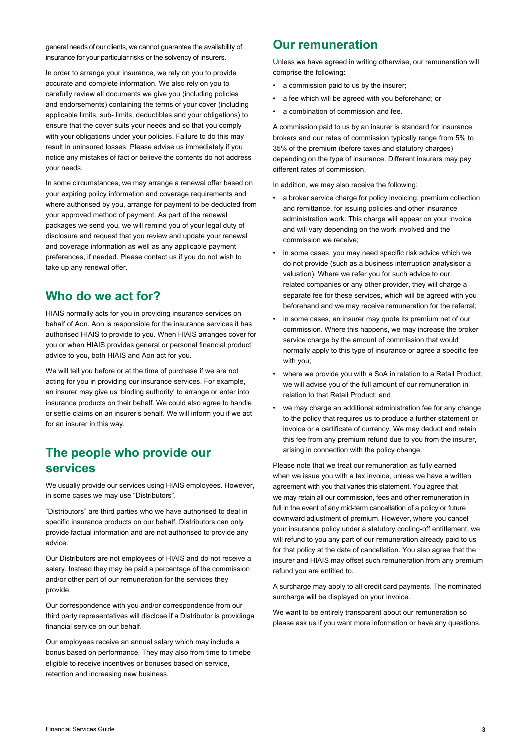general needs of our clients, we cannot guarantee the availability of insurance for your particular risks or the solvency of insurers.

In order to arrange your insurance, we rely on you to provide accurate and complete information. We also rely on you to carefully review all documents we give you (including policies and endorsements) containing the terms of your cover (including applicable limits, sub- limits, deductibles and your obligations) to ensure that the cover suits your needs and so that you comply with your obligations under your policies. Failure to do this may result in uninsured losses. Please advise us immediately if you notice any mistakes of fact or believe the contents do not address your needs.

In some circumstances, we may arrange a renewal offer based on your expiring policy information and coverage requirements and where authorised by you, arrange for payment to be deducted from your approved method of payment. As part of the renewal packages we send you, we will remind you of your legal duty of disclosure and request that you review and update your renewal and coverage information as well as any applicable payment preferences, if needed. Please contact us if you do not wish to take up any renewal offer.

## **Who do we act for?**

HIAIS normally acts for you in providing insurance services on behalf of Aon. Aon is responsible for the insurance services it has authorised HIAIS to provide to you. When HIAIS arranges cover for you or when HIAIS provides general or personal financial product advice to you, both HIAIS and Aon act for you.

We will tell you before or at the time of purchase if we are not acting for you in providing our insurance services. For example, an insurer may give us 'binding authority' to arrange or enter into insurance products on their behalf. We could also agree to handle or settle claims on an insurer's behalf. We will inform you if we act for an insurer in this way.

# **The people who provide our services**

We usually provide our services using HIAIS employees. However, in some cases we may use "Distributors".

"Distributors" are third parties who we have authorised to deal in specific insurance products on our behalf. Distributors can only provide factual information and are not authorised to provide any advice.

Our Distributors are not employees of HIAIS and do not receive a salary. Instead they may be paid a percentage of the commission and/or other part of our remuneration for the services they provide.

Our correspondence with you and/or correspondence from our third party representatives will disclose if a Distributor is providinga financial service on our behalf.

Our employees receive an annual salary which may include a bonus based on performance. They may also from time to timebe eligible to receive incentives or bonuses based on service, retention and increasing new business.

## **Our remuneration**

Unless we have agreed in writing otherwise, our remuneration will comprise the following:

- a commission paid to us by the insurer;
- a fee which will be agreed with you beforehand; or
- a combination of commission and fee.

A commission paid to us by an insurer is standard for insurance brokers and our rates of commission typically range from 5% to 35% of the premium (before taxes and statutory charges) depending on the type of insurance. Different insurers may pay different rates of commission.

In addition, we may also receive the following:

- a broker service charge for policy invoicing, premium collection and remittance, for issuing policies and other insurance administration work. This charge will appear on your invoice and will vary depending on the work involved and the commission we receive;
- in some cases, you may need specific risk advice which we do not provide (such as a business interruption analysisor a valuation). Where we refer you for such advice to our related companies or any other provider, they will charge a separate fee for these services, which will be agreed with you beforehand and we may receive remuneration for the referral;
- in some cases, an insurer may quote its premium net of our commission. Where this happens, we may increase the broker service charge by the amount of commission that would normally apply to this type of insurance or agree a specific fee with you;
- where we provide you with a SoA in relation to a Retail Product, we will advise you of the full amount of our remuneration in relation to that Retail Product; and
- we may charge an additional administration fee for any change to the policy that requires us to produce a further statement or invoice or a certificate of currency. We may deduct and retain this fee from any premium refund due to you from the insurer, arising in connection with the policy change.

Please note that we treat our remuneration as fully earned when we issue you with a tax invoice, unless we have a written agreement with you that varies this statement. You agree that we may retain all our commission, fees and other remuneration in full in the event of any mid-term cancellation of a policy or future downward adjustment of premium. However, where you cancel your insurance policy under a statutory cooling-off entitlement, we will refund to you any part of our remuneration already paid to us for that policy at the date of cancellation. You also agree that the insurer and HIAIS may offset such remuneration from any premium refund you are entitled to.

A surcharge may apply to all credit card payments. The nominated surcharge will be displayed on your invoice.

We want to be entirely transparent about our remuneration so please ask us if you want more information or have any questions.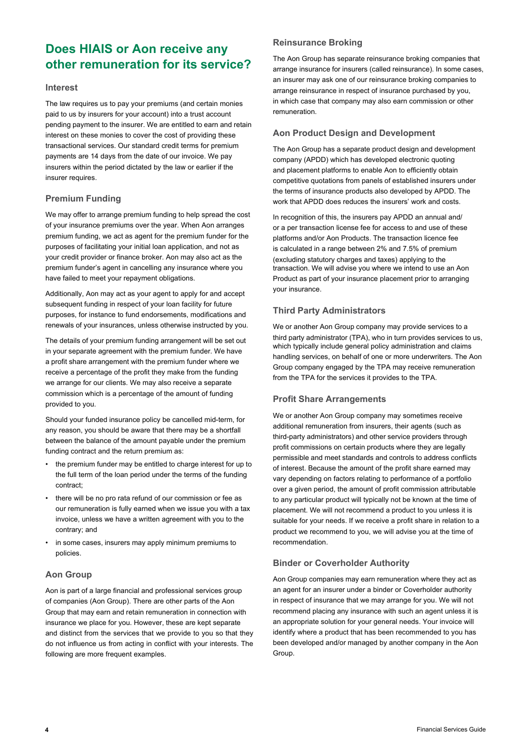# **Does HIAIS or Aon receive any other remuneration for its service?**

#### **Interest**

The law requires us to pay your premiums (and certain monies paid to us by insurers for your account) into a trust account pending payment to the insurer. We are entitled to earn and retain interest on these monies to cover the cost of providing these transactional services. Our standard credit terms for premium payments are 14 days from the date of our invoice. We pay insurers within the period dictated by the law or earlier if the insurer requires.

## **Premium Funding**

We may offer to arrange premium funding to help spread the cost of your insurance premiums over the year. When Aon arranges premium funding, we act as agent for the premium funder for the purposes of facilitating your initial loan application, and not as your credit provider or finance broker. Aon may also act as the premium funder's agent in cancelling any insurance where you have failed to meet your repayment obligations.

Additionally, Aon may act as your agent to apply for and accept subsequent funding in respect of your loan facility for future purposes, for instance to fund endorsements, modifications and renewals of your insurances, unless otherwise instructed by you.

The details of your premium funding arrangement will be set out in your separate agreement with the premium funder. We have a profit share arrangement with the premium funder where we receive a percentage of the profit they make from the funding we arrange for our clients. We may also receive a separate commission which is a percentage of the amount of funding provided to you.

Should your funded insurance policy be cancelled mid-term, for any reason, you should be aware that there may be a shortfall between the balance of the amount payable under the premium funding contract and the return premium as:

- the premium funder may be entitled to charge interest for up to the full term of the loan period under the terms of the funding contract;
- there will be no pro rata refund of our commission or fee as our remuneration is fully earned when we issue you with a tax invoice, unless we have a written agreement with you to the contrary; and
- in some cases, insurers may apply minimum premiums to policies.

## **Aon Group**

Aon is part of a large financial and professional services group of companies (Aon Group). There are other parts of the Aon Group that may earn and retain remuneration in connection with insurance we place for you. However, these are kept separate and distinct from the services that we provide to you so that they do not influence us from acting in conflict with your interests. The following are more frequent examples.

## **Reinsurance Broking**

The Aon Group has separate reinsurance broking companies that arrange insurance for insurers (called reinsurance). In some cases, an insurer may ask one of our reinsurance broking companies to arrange reinsurance in respect of insurance purchased by you, in which case that company may also earn commission or other remuneration.

## **Aon Product Design and Development**

The Aon Group has a separate product design and development company (APDD) which has developed electronic quoting and placement platforms to enable Aon to efficiently obtain competitive quotations from panels of established insurers under the terms of insurance products also developed by APDD. The work that APDD does reduces the insurers' work and costs.

In recognition of this, the insurers pay APDD an annual and/ or a per transaction license fee for access to and use of these platforms and/or Aon Products. The transaction licence fee is calculated in a range between 2% and 7.5% of premium (excluding statutory charges and taxes) applying to the transaction. We will advise you where we intend to use an Aon Product as part of your insurance placement prior to arranging your insurance.

## **Third Party Administrators**

We or another Aon Group company may provide services to a third party administrator (TPA), who in turn provides services to us, which typically include general policy administration and claims handling services, on behalf of one or more underwriters. The Aon Group company engaged by the TPA may receive remuneration from the TPA for the services it provides to the TPA.

## **Profit Share Arrangements**

We or another Aon Group company may sometimes receive additional remuneration from insurers, their agents (such as third-party administrators) and other service providers through profit commissions on certain products where they are legally permissible and meet standards and controls to address conflicts of interest. Because the amount of the profit share earned may vary depending on factors relating to performance of a portfolio over a given period, the amount of profit commission attributable to any particular product will typically not be known at the time of placement. We will not recommend a product to you unless it is suitable for your needs. If we receive a profit share in relation to a product we recommend to you, we will advise you at the time of recommendation.

## **Binder or Coverholder Authority**

Aon Group companies may earn remuneration where they act as an agent for an insurer under a binder or Coverholder authority in respect of insurance that we may arrange for you. We will not recommend placing any insurance with such an agent unless it is an appropriate solution for your general needs. Your invoice will identify where a product that has been recommended to you has been developed and/or managed by another company in the Aon Group.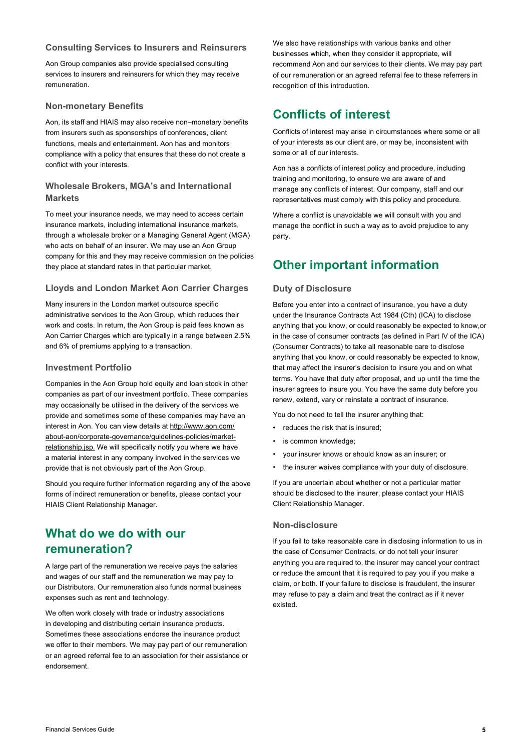#### **Consulting Services to Insurers and Reinsurers**

Aon Group companies also provide specialised consulting services to insurers and reinsurers for which they may receive remuneration.

#### **Non-monetary Benefits**

Aon, its staff and HIAIS may also receive non–monetary benefits from insurers such as sponsorships of conferences, client functions, meals and entertainment. Aon has and monitors compliance with a policy that ensures that these do not create a conflict with your interests.

## **Wholesale Brokers, MGA's and International Markets**

To meet your insurance needs, we may need to access certain insurance markets, including international insurance markets, through a wholesale broker or a Managing General Agent (MGA) who acts on behalf of an insurer. We may use an Aon Group company for this and they may receive commission on the policies they place at standard rates in that particular market.

#### **Lloyds and London Market Aon Carrier Charges**

Many insurers in the London market outsource specific administrative services to the Aon Group, which reduces their work and costs. In return, the Aon Group is paid fees known as Aon Carrier Charges which are typically in a range between 2.5% and 6% of premiums applying to a transaction.

#### **Investment Portfolio**

Companies in the Aon Group hold equity and loan stock in other companies as part of our investment portfolio. These companies may occasionally be utilised in the delivery of the services we provide and sometimes some of these companies may have an interest in Aon. You can view details a[t http://www.aon.com/](http://www.aon.com/) about-aon/corporate-governance/guidelines-policies/marketrelationship.jsp. We will specifically notify you where we have a material interest in any company involved in the services we provide that is not obviously part of the Aon Group.

Should you require further information regarding any of the above forms of indirect remuneration or benefits, please contact your HIAIS Client Relationship Manager.

## **What do we do with our remuneration?**

A large part of the remuneration we receive pays the salaries and wages of our staff and the remuneration we may pay to our Distributors. Our remuneration also funds normal business expenses such as rent and technology.

We often work closely with trade or industry associations in developing and distributing certain insurance products. Sometimes these associations endorse the insurance product we offer to their members. We may pay part of our remuneration or an agreed referral fee to an association for their assistance or endorsement.

We also have relationships with various banks and other businesses which, when they consider it appropriate, will recommend Aon and our services to their clients. We may pay part of our remuneration or an agreed referral fee to these referrers in recognition of this introduction.

## **Conflicts of interest**

Conflicts of interest may arise in circumstances where some or all of your interests as our client are, or may be, inconsistent with some or all of our interests.

Aon has a conflicts of interest policy and procedure, including training and monitoring, to ensure we are aware of and manage any conflicts of interest. Our company, staff and our representatives must comply with this policy and procedure.

Where a conflict is unavoidable we will consult with you and manage the conflict in such a way as to avoid prejudice to any party.

# **Other important information**

#### **Duty of Disclosure**

Before you enter into a contract of insurance, you have a duty under the Insurance Contracts Act 1984 (Cth) (ICA) to disclose anything that you know, or could reasonably be expected to know,or in the case of consumer contracts (as defined in Part IV of the ICA) (Consumer Contracts) to take all reasonable care to disclose anything that you know, or could reasonably be expected to know, that may affect the insurer's decision to insure you and on what terms. You have that duty after proposal, and up until the time the insurer agrees to insure you. You have the same duty before you renew, extend, vary or reinstate a contract of insurance.

You do not need to tell the insurer anything that:

- reduces the risk that is insured;
- is common knowledge;
- your insurer knows or should know as an insurer; or
- the insurer waives compliance with your duty of disclosure.

If you are uncertain about whether or not a particular matter should be disclosed to the insurer, please contact your HIAIS Client Relationship Manager.

#### **Non-disclosure**

If you fail to take reasonable care in disclosing information to us in the case of Consumer Contracts, or do not tell your insurer anything you are required to, the insurer may cancel your contract or reduce the amount that it is required to pay you if you make a claim, or both. If your failure to disclose is fraudulent, the insurer may refuse to pay a claim and treat the contract as if it never existed.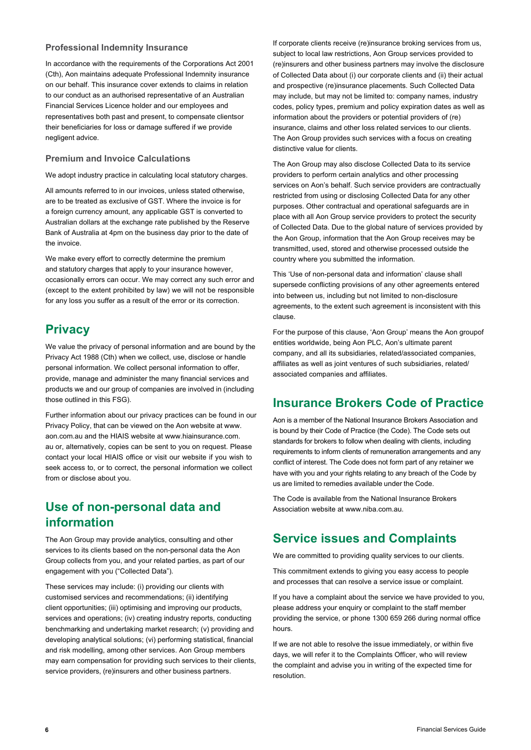#### **Professional Indemnity Insurance**

In accordance with the requirements of the Corporations Act 2001 (Cth), Aon maintains adequate Professional Indemnity insurance on our behalf. This insurance cover extends to claims in relation to our conduct as an authorised representative of an Australian Financial Services Licence holder and our employees and representatives both past and present, to compensate clientsor their beneficiaries for loss or damage suffered if we provide negligent advice.

## **Premium and Invoice Calculations**

We adopt industry practice in calculating local statutory charges.

All amounts referred to in our invoices, unless stated otherwise, are to be treated as exclusive of GST. Where the invoice is for a foreign currency amount, any applicable GST is converted to Australian dollars at the exchange rate published by the Reserve Bank of Australia at 4pm on the business day prior to the date of the invoice.

We make every effort to correctly determine the premium and statutory charges that apply to your insurance however, occasionally errors can occur. We may correct any such error and (except to the extent prohibited by law) we will not be responsible for any loss you suffer as a result of the error or its correction.

# **Privacy**

We value the privacy of personal information and are bound by the Privacy Act 1988 (Cth) when we collect, use, disclose or handle personal information. We collect personal information to offer, provide, manage and administer the many financial services and products we and our group of companies are involved in (including those outlined in this FSG).

Further information about our privacy practices can be found in our Privacy Policy, that can be viewed on the Aon website at [www.](http://www/) aon.com.au and the HIAIS website at [www.hiainsurance.com.](http://www.hiainsurance.com/) au or, alternatively, copies can be sent to you on request. Please contact your local HIAIS office or visit our website if you wish to seek access to, or to correct, the personal information we collect from or disclose about you.

# **Use of non-personal data and information**

The Aon Group may provide analytics, consulting and other services to its clients based on the non-personal data the Aon Group collects from you, and your related parties, as part of our engagement with you ("Collected Data").

These services may include: (i) providing our clients with customised services and recommendations; (ii) identifying client opportunities; (iii) optimising and improving our products, services and operations; (iv) creating industry reports, conducting benchmarking and undertaking market research; (v) providing and developing analytical solutions; (vi) performing statistical, financial and risk modelling, among other services. Aon Group members may earn compensation for providing such services to their clients, service providers, (re)insurers and other business partners.

If corporate clients receive (re)insurance broking services from us, subject to local law restrictions, Aon Group services provided to (re)insurers and other business partners may involve the disclosure of Collected Data about (i) our corporate clients and (ii) their actual and prospective (re)insurance placements. Such Collected Data may include, but may not be limited to: company names, industry codes, policy types, premium and policy expiration dates as well as information about the providers or potential providers of (re) insurance, claims and other loss related services to our clients. The Aon Group provides such services with a focus on creating distinctive value for clients.

The Aon Group may also disclose Collected Data to its service providers to perform certain analytics and other processing services on Aon's behalf. Such service providers are contractually restricted from using or disclosing Collected Data for any other purposes. Other contractual and operational safeguards are in place with all Aon Group service providers to protect the security of Collected Data. Due to the global nature of services provided by the Aon Group, information that the Aon Group receives may be transmitted, used, stored and otherwise processed outside the country where you submitted the information.

This 'Use of non-personal data and information' clause shall supersede conflicting provisions of any other agreements entered into between us, including but not limited to non-disclosure agreements, to the extent such agreement is inconsistent with this clause.

For the purpose of this clause, 'Aon Group' means the Aon groupof entities worldwide, being Aon PLC, Aon's ultimate parent company, and all its subsidiaries, related/associated companies, affiliates as well as joint ventures of such subsidiaries, related/ associated companies and affiliates.

# **Insurance Brokers Code of Practice**

Aon is a member of the National Insurance Brokers Association and is bound by their Code of Practice (the Code). The Code sets out standards for brokers to follow when dealing with clients, including requirements to inform clients of remuneration arrangements and any conflict of interest. The Code does not form part of any retainer we have with you and your rights relating to any breach of the Code by us are limited to remedies available under the Code.

The Code is available from the National Insurance Brokers Association website a[t www.niba.com.au.](http://www.niba.com.au/)

# **Service issues and Complaints**

We are committed to providing quality services to our clients.

This commitment extends to giving you easy access to people and processes that can resolve a service issue or complaint.

If you have a complaint about the service we have provided to you, please address your enquiry or complaint to the staff member providing the service, or phone 1300 659 266 during normal office hours.

If we are not able to resolve the issue immediately, or within five days, we will refer it to the Complaints Officer, who will review the complaint and advise you in writing of the expected time for resolution.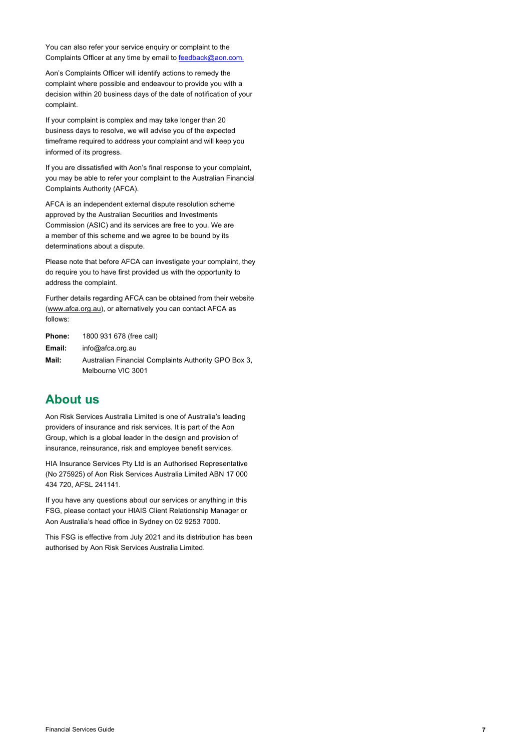You can also refer your service enquiry or complaint to the Complaints Officer at any time by email to [feedback@aon.com.](mailto:feedback@aon.com)

Aon's Complaints Officer will identify actions to remedy the complaint where possible and endeavour to provide you with a decision within 20 business days of the date of notification of your complaint.

If your complaint is complex and may take longer than 20 business days to resolve, we will advise you of the expected timeframe required to address your complaint and will keep you informed of its progress.

If you are dissatisfied with Aon's final response to your complaint, you may be able to refer your complaint to the Australian Financial Complaints Authority (AFCA).

AFCA is an independent external dispute resolution scheme approved by the Australian Securities and Investments Commission (ASIC) and its services are free to you. We are a member of this scheme and we agree to be bound by its determinations about a dispute.

Please note that before AFCA can investigate your complaint, they do require you to have first provided us with the opportunity to address the complaint.

Further details regarding AFCA can be obtained from their website [\(www.afca.org.au\)](http://www.afca.org.au/), or alternatively you can contact AFCA as follows:

**Phone:** 1800 931 678 (free call) **Email:** [info@afca.org.au](mailto:info@afca.org.au) **Mail:** Australian Financial Complaints Authority GPO Box 3, Melbourne VIC 3001

## **About us**

Aon Risk Services Australia Limited is one of Australia's leading providers of insurance and risk services. It is part of the Aon Group, which is a global leader in the design and provision of insurance, reinsurance, risk and employee benefit services.

HIA Insurance Services Pty Ltd is an Authorised Representative (No 275925) of Aon Risk Services Australia Limited ABN 17 000 434 720, AFSL 241141.

If you have any questions about our services or anything in this FSG, please contact your HIAIS Client Relationship Manager or Aon Australia's head office in Sydney on 02 9253 7000.

This FSG is effective from July 2021 and its distribution has been authorised by Aon Risk Services Australia Limited.